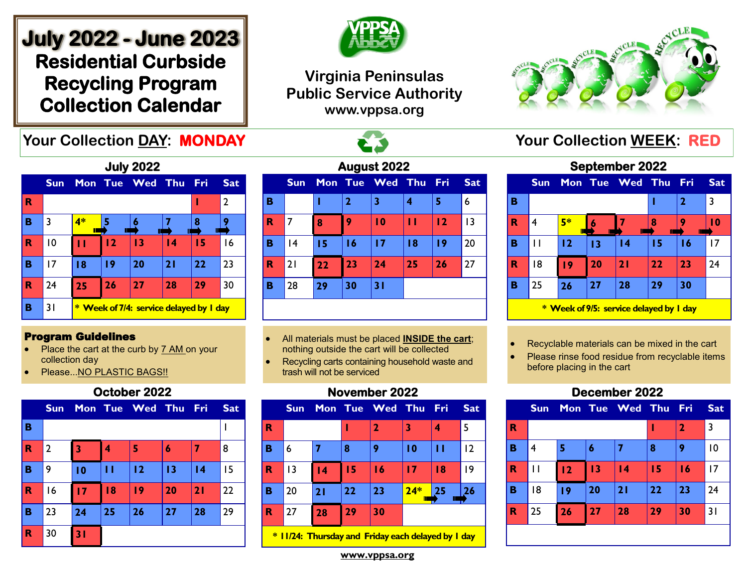# **July 2022 - June 2023 Residential Curbside Recycling Program Collection Calendar**

## **Virginia Peninsulas Public Service Authority www.vppsa.org**



# **Your Collection DAY: MONDAY And All Accords** To the Mour Collection WEEK: RED

| <b>July 2022</b> |            |                                              |    |                 |    |     |                |  |  |  |
|------------------|------------|----------------------------------------------|----|-----------------|----|-----|----------------|--|--|--|
|                  | <b>Sun</b> |                                              |    | Mon Tue Wed Thu |    | Fri | <b>Sat</b>     |  |  |  |
| R                |            |                                              |    |                 |    | ı   | $\overline{2}$ |  |  |  |
| в                | 3          | 4*                                           |    |                 |    | 8   |                |  |  |  |
| R                | 10         |                                              | 12 | $\overline{13}$ | 14 | 15  | 16             |  |  |  |
| в                | 17         | 18                                           | 19 | 20              | 21 | 22  | 23             |  |  |  |
| $\mathbf R$      | 24         | 25                                           | 26 | 27              | 28 | 29  | 30             |  |  |  |
| в                | 31         | <b>Week of 7/4: service delayed by I day</b> |    |                 |    |     |                |  |  |  |

#### Program Guidelines

- Place the cart at the curb by 7 AM on your collection day
- Please...NO PLASTIC BAGS!!

#### **October 2022**

|             | <b>Sun</b>     |                 |    | Mon Tue Wed Thu Fri |    |                 | <b>Sat</b> |
|-------------|----------------|-----------------|----|---------------------|----|-----------------|------------|
| B           |                |                 |    |                     |    |                 |            |
| $\mathbf R$ | $\overline{2}$ | 3               | 4  | 5                   | 6  | 7               | 8          |
| B           | 9              | $\overline{10}$ | П  | 12                  | 13 | $\overline{14}$ | 15         |
| $\mathbf R$ | 16             | 17              | 18 | 19                  | 20 | 21              | 22         |
| B           | 23             | 24              | 25 | 26                  | 27 | 28              | 29         |
| R           | 30             | 31              |    |                     |    |                 |            |

| August 2022 |            |    |                |                 |    |       |            |  |  |  |  |
|-------------|------------|----|----------------|-----------------|----|-------|------------|--|--|--|--|
|             | <b>Sun</b> |    |                | Mon Tue Wed Thu |    | - Fri | <b>Sat</b> |  |  |  |  |
| в           |            |    | $\overline{2}$ | 3               | 4  | 5     | 6          |  |  |  |  |
| $\mathbf R$ | 7          | 8  | 9              | $\overline{10}$ | п  | 12    | 13         |  |  |  |  |
| в           | 4          | 15 | 16             | 17              | 18 | 19    | 20         |  |  |  |  |
| $\mathbf R$ | 21         | 22 | 23             | 24              | 25 | 26    | 27         |  |  |  |  |
| в           | 28         | 29 | 30             | 31              |    |       |            |  |  |  |  |
|             |            |    |                |                 |    |       |            |  |  |  |  |

- All materials must be placed **INSIDE the cart**; nothing outside the cart will be collected
- Recycling carts containing household waste and trash will not be serviced

#### **November 2022**

|             | <b>Sun</b> |                 |    | Mon Tue Wed Thu Fri |       |    | <b>Sat</b> |  |  |  |
|-------------|------------|-----------------|----|---------------------|-------|----|------------|--|--|--|
| R           |            |                 | ı  | 2                   | 3     | 4  | 5          |  |  |  |
| B           | 6          |                 | 8  | 9                   | 10    | Н  | 2          |  |  |  |
| R           | 3          | $\overline{14}$ | 15 | 16                  | 17    | 18 | 19         |  |  |  |
| B           | 20         | 21              | 22 | 23                  | $24*$ | 25 | 26         |  |  |  |
| $\mathbf R$ | 27         | 28              | 29 | 30                  |       |    |            |  |  |  |
|             |            |                 |    |                     |       |    |            |  |  |  |

**\* 11/24: Thursday and Friday each delayed by 1 day**

**September 2022 Sun Mon Tue Wed Thu Fri Sat B**  $\vert$  1 2 3 **R** 4 **5\* 6 7 8 9 10 B** 11 **12 13 14 15 16** 17

# **B** 25 **26 27 28 29 30 \* Week of 9/5: service delayed by 1 day**

• Recyclable materials can be mixed in the cart

**R** 18 **19 20 21 22 23** 24

Please rinse food residue from recyclable items before placing in the cart

### **December 2022**

|                         | <b>Sun</b> |    |    | Mon Tue Wed Thu Fri |    |              | <b>Sat</b> |
|-------------------------|------------|----|----|---------------------|----|--------------|------------|
| $\overline{\mathbf{R}}$ |            |    |    |                     |    | $\mathbf{2}$ | 3          |
| B                       | 4          |    | 6  | 7                   | 8  | 9            | 10         |
| R                       | П          | 12 | 13 | $\overline{14}$     | 15 | 16           | 17         |
| B                       | 18         | 19 | 20 | 21                  | 22 | 23           | 24         |
| R                       | 25         | 26 | 27 | 28                  | 29 | 30           | 31         |
|                         |            |    |    |                     |    |              |            |

**www.vppsa.org**